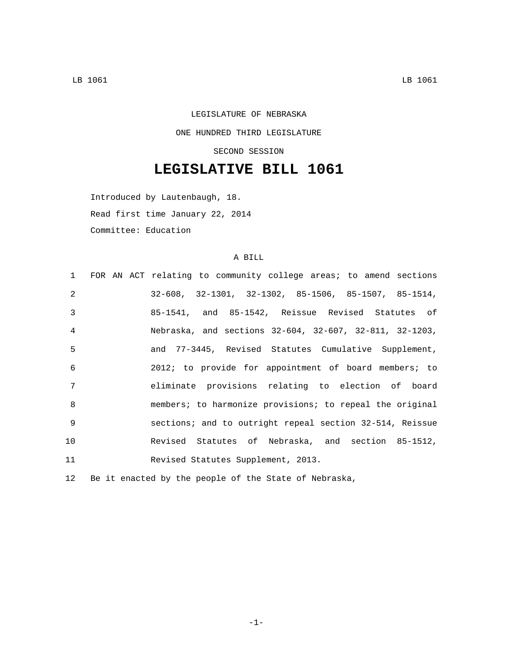## LEGISLATURE OF NEBRASKA ONE HUNDRED THIRD LEGISLATURE SECOND SESSION

## **LEGISLATIVE BILL 1061**

Introduced by Lautenbaugh, 18. Read first time January 22, 2014 Committee: Education

## A BILL

|                | 1 FOR AN ACT relating to community college areas; to amend sections    |
|----------------|------------------------------------------------------------------------|
| $\mathcal{L}$  | $32-608$ , $32-1301$ , $32-1302$ , $85-1506$ , $85-1507$ , $85-1514$ , |
| $\mathcal{E}$  | 85-1541, and 85-1542, Reissue Revised Statutes of                      |
| $\overline{4}$ | Nebraska, and sections 32-604, 32-607, 32-811, 32-1203,                |
| 5              | and 77-3445, Revised Statutes Cumulative Supplement,                   |
| 6              | 2012; to provide for appointment of board members; to                  |
| 7              | eliminate provisions relating to election of board                     |
| $\mathcal{B}$  | members; to harmonize provisions; to repeal the original               |
| -9             | sections; and to outright repeal section 32-514, Reissue               |
| 10             | Revised Statutes of Nebraska, and section 85-1512,                     |
| 11             | Revised Statutes Supplement, 2013.                                     |

12 Be it enacted by the people of the State of Nebraska,

-1-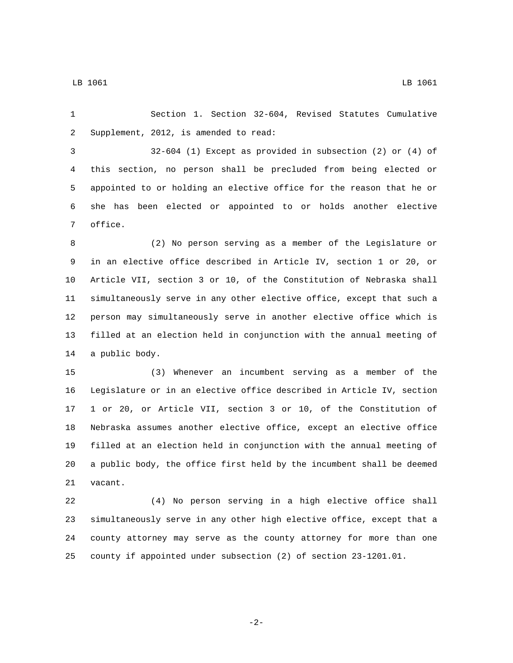Section 1. Section 32-604, Revised Statutes Cumulative 2 Supplement, 2012, is amended to read:

 32-604 (1) Except as provided in subsection (2) or (4) of this section, no person shall be precluded from being elected or appointed to or holding an elective office for the reason that he or she has been elected or appointed to or holds another elective 7 office.

 (2) No person serving as a member of the Legislature or in an elective office described in Article IV, section 1 or 20, or Article VII, section 3 or 10, of the Constitution of Nebraska shall simultaneously serve in any other elective office, except that such a person may simultaneously serve in another elective office which is filled at an election held in conjunction with the annual meeting of 14 a public body.

 (3) Whenever an incumbent serving as a member of the Legislature or in an elective office described in Article IV, section 1 or 20, or Article VII, section 3 or 10, of the Constitution of Nebraska assumes another elective office, except an elective office filled at an election held in conjunction with the annual meeting of a public body, the office first held by the incumbent shall be deemed 21 vacant.

 (4) No person serving in a high elective office shall simultaneously serve in any other high elective office, except that a county attorney may serve as the county attorney for more than one county if appointed under subsection (2) of section 23-1201.01.

$$
-2\,-
$$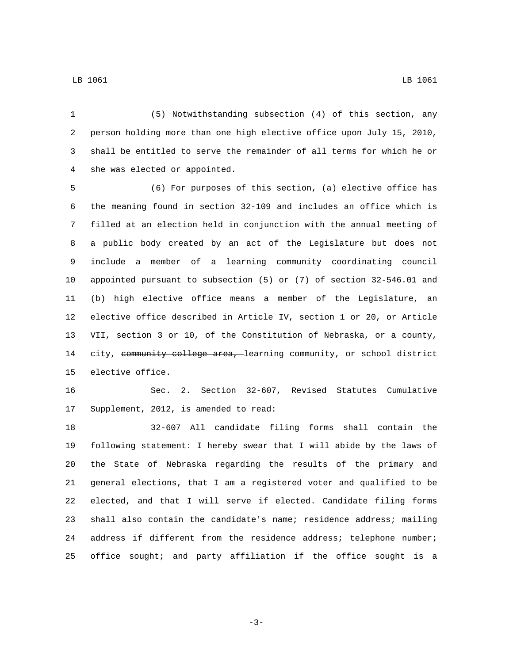LB 1061 LB 1061

 (5) Notwithstanding subsection (4) of this section, any person holding more than one high elective office upon July 15, 2010, shall be entitled to serve the remainder of all terms for which he or 4 she was elected or appointed.

 (6) For purposes of this section, (a) elective office has the meaning found in section 32-109 and includes an office which is filled at an election held in conjunction with the annual meeting of a public body created by an act of the Legislature but does not include a member of a learning community coordinating council appointed pursuant to subsection (5) or (7) of section 32-546.01 and (b) high elective office means a member of the Legislature, an elective office described in Article IV, section 1 or 20, or Article VII, section 3 or 10, of the Constitution of Nebraska, or a county, 14 city, community college area, learning community, or school district 15 elective office.

 Sec. 2. Section 32-607, Revised Statutes Cumulative 17 Supplement, 2012, is amended to read:

 32-607 All candidate filing forms shall contain the following statement: I hereby swear that I will abide by the laws of the State of Nebraska regarding the results of the primary and general elections, that I am a registered voter and qualified to be elected, and that I will serve if elected. Candidate filing forms shall also contain the candidate's name; residence address; mailing address if different from the residence address; telephone number; office sought; and party affiliation if the office sought is a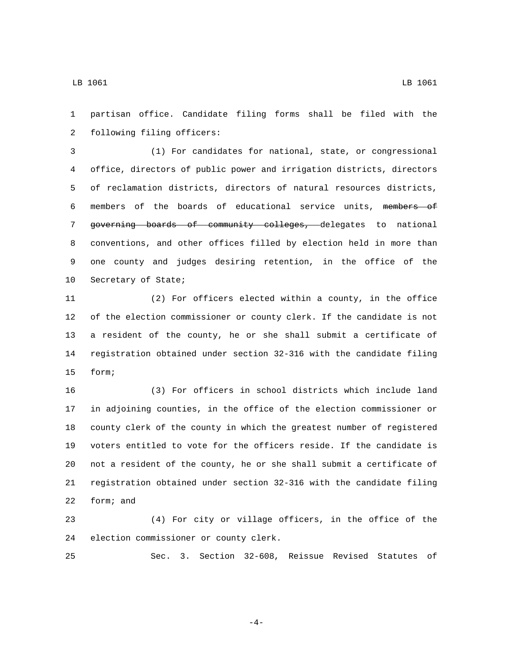partisan office. Candidate filing forms shall be filed with the 2 following filing officers:

 (1) For candidates for national, state, or congressional office, directors of public power and irrigation districts, directors of reclamation districts, directors of natural resources districts, members of the boards of educational service units, members of governing boards of community colleges, delegates to national conventions, and other offices filled by election held in more than one county and judges desiring retention, in the office of the 10 Secretary of State;

 (2) For officers elected within a county, in the office of the election commissioner or county clerk. If the candidate is not a resident of the county, he or she shall submit a certificate of registration obtained under section 32-316 with the candidate filing 15 form;

 (3) For officers in school districts which include land in adjoining counties, in the office of the election commissioner or county clerk of the county in which the greatest number of registered voters entitled to vote for the officers reside. If the candidate is not a resident of the county, he or she shall submit a certificate of registration obtained under section 32-316 with the candidate filing 22 form; and

 (4) For city or village officers, in the office of the 24 election commissioner or county clerk.

Sec. 3. Section 32-608, Reissue Revised Statutes of

-4-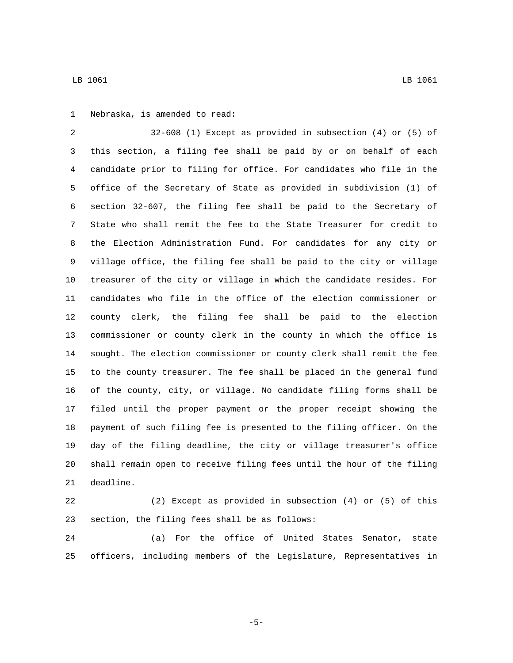LB 1061 LB 1061

1 Nebraska, is amended to read:

 32-608 (1) Except as provided in subsection (4) or (5) of this section, a filing fee shall be paid by or on behalf of each candidate prior to filing for office. For candidates who file in the office of the Secretary of State as provided in subdivision (1) of section 32-607, the filing fee shall be paid to the Secretary of State who shall remit the fee to the State Treasurer for credit to the Election Administration Fund. For candidates for any city or village office, the filing fee shall be paid to the city or village treasurer of the city or village in which the candidate resides. For candidates who file in the office of the election commissioner or county clerk, the filing fee shall be paid to the election commissioner or county clerk in the county in which the office is sought. The election commissioner or county clerk shall remit the fee to the county treasurer. The fee shall be placed in the general fund of the county, city, or village. No candidate filing forms shall be filed until the proper payment or the proper receipt showing the payment of such filing fee is presented to the filing officer. On the day of the filing deadline, the city or village treasurer's office shall remain open to receive filing fees until the hour of the filing 21 deadline.

 (2) Except as provided in subsection (4) or (5) of this 23 section, the filing fees shall be as follows:

 (a) For the office of United States Senator, state officers, including members of the Legislature, Representatives in

-5-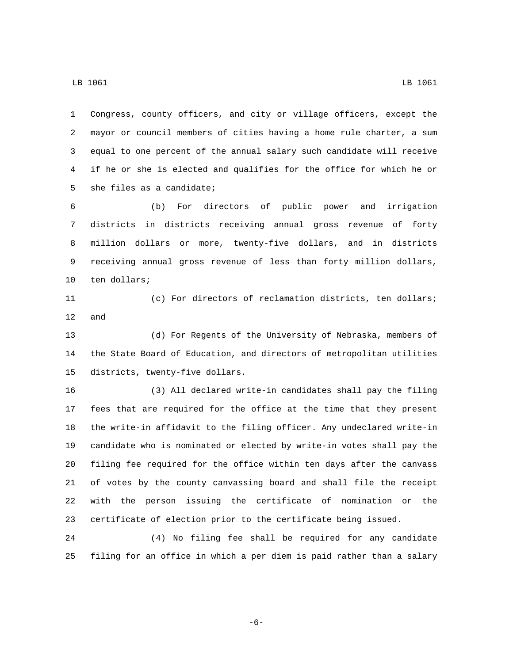Congress, county officers, and city or village officers, except the mayor or council members of cities having a home rule charter, a sum equal to one percent of the annual salary such candidate will receive if he or she is elected and qualifies for the office for which he or 5 she files as a candidate;

 (b) For directors of public power and irrigation districts in districts receiving annual gross revenue of forty million dollars or more, twenty-five dollars, and in districts receiving annual gross revenue of less than forty million dollars, 10 ten dollars;

 (c) For directors of reclamation districts, ten dollars; and

 (d) For Regents of the University of Nebraska, members of the State Board of Education, and directors of metropolitan utilities 15 districts, twenty-five dollars.

 (3) All declared write-in candidates shall pay the filing fees that are required for the office at the time that they present the write-in affidavit to the filing officer. Any undeclared write-in candidate who is nominated or elected by write-in votes shall pay the filing fee required for the office within ten days after the canvass of votes by the county canvassing board and shall file the receipt with the person issuing the certificate of nomination or the certificate of election prior to the certificate being issued.

 (4) No filing fee shall be required for any candidate filing for an office in which a per diem is paid rather than a salary

-6-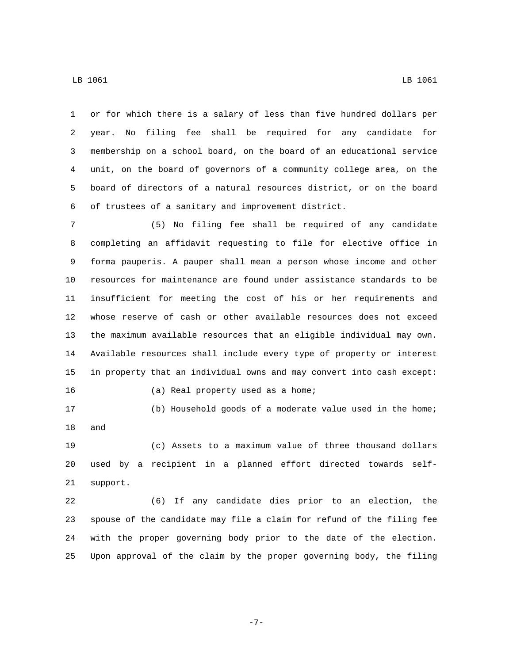or for which there is a salary of less than five hundred dollars per

 year. No filing fee shall be required for any candidate for membership on a school board, on the board of an educational service 4 unit, on the board of governors of a community college area, on the board of directors of a natural resources district, or on the board of trustees of a sanitary and improvement district.

 (5) No filing fee shall be required of any candidate completing an affidavit requesting to file for elective office in forma pauperis. A pauper shall mean a person whose income and other resources for maintenance are found under assistance standards to be insufficient for meeting the cost of his or her requirements and whose reserve of cash or other available resources does not exceed the maximum available resources that an eligible individual may own. Available resources shall include every type of property or interest in property that an individual owns and may convert into cash except: 16 (a) Real property used as a home;

 (b) Household goods of a moderate value used in the home; 18 and

 (c) Assets to a maximum value of three thousand dollars used by a recipient in a planned effort directed towards self-21 support.

 (6) If any candidate dies prior to an election, the spouse of the candidate may file a claim for refund of the filing fee with the proper governing body prior to the date of the election. Upon approval of the claim by the proper governing body, the filing

-7-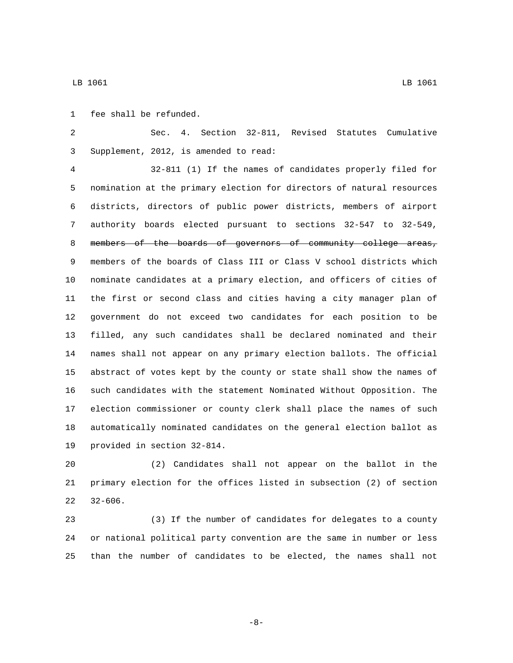1 fee shall be refunded.

 Sec. 4. Section 32-811, Revised Statutes Cumulative Supplement, 2012, is amended to read:3

 32-811 (1) If the names of candidates properly filed for nomination at the primary election for directors of natural resources districts, directors of public power districts, members of airport authority boards elected pursuant to sections 32-547 to 32-549, 8 members of the boards of governors of community college areas, members of the boards of Class III or Class V school districts which nominate candidates at a primary election, and officers of cities of the first or second class and cities having a city manager plan of government do not exceed two candidates for each position to be filled, any such candidates shall be declared nominated and their names shall not appear on any primary election ballots. The official abstract of votes kept by the county or state shall show the names of such candidates with the statement Nominated Without Opposition. The election commissioner or county clerk shall place the names of such automatically nominated candidates on the general election ballot as 19 provided in section 32-814.

 (2) Candidates shall not appear on the ballot in the primary election for the offices listed in subsection (2) of section  $32-606$ .

 (3) If the number of candidates for delegates to a county or national political party convention are the same in number or less than the number of candidates to be elected, the names shall not

-8-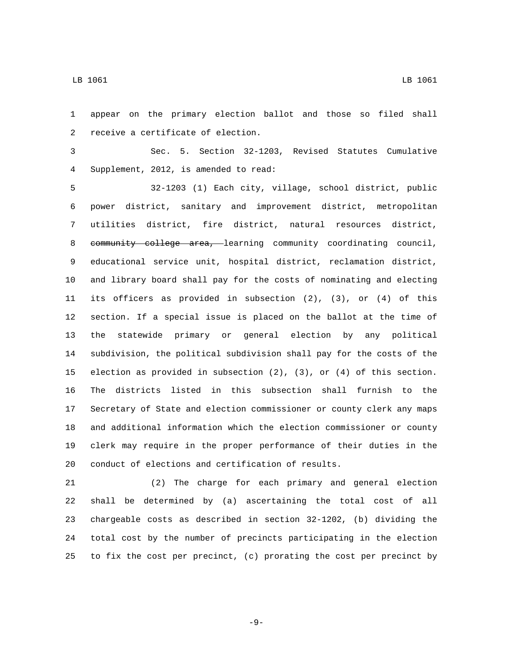appear on the primary election ballot and those so filed shall 2 receive a certificate of election.

 Sec. 5. Section 32-1203, Revised Statutes Cumulative Supplement, 2012, is amended to read:4

 32-1203 (1) Each city, village, school district, public power district, sanitary and improvement district, metropolitan utilities district, fire district, natural resources district, 8 community college area, learning community coordinating council, educational service unit, hospital district, reclamation district, and library board shall pay for the costs of nominating and electing its officers as provided in subsection (2), (3), or (4) of this section. If a special issue is placed on the ballot at the time of the statewide primary or general election by any political subdivision, the political subdivision shall pay for the costs of the election as provided in subsection (2), (3), or (4) of this section. The districts listed in this subsection shall furnish to the Secretary of State and election commissioner or county clerk any maps and additional information which the election commissioner or county clerk may require in the proper performance of their duties in the conduct of elections and certification of results.

 (2) The charge for each primary and general election shall be determined by (a) ascertaining the total cost of all chargeable costs as described in section 32-1202, (b) dividing the total cost by the number of precincts participating in the election to fix the cost per precinct, (c) prorating the cost per precinct by

-9-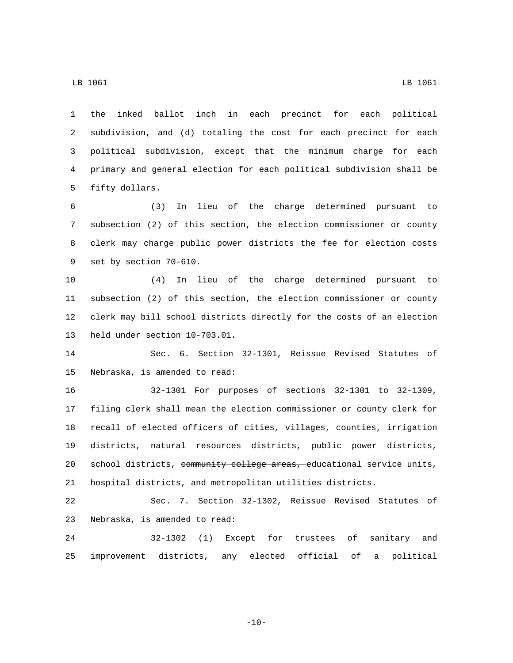the inked ballot inch in each precinct for each political subdivision, and (d) totaling the cost for each precinct for each political subdivision, except that the minimum charge for each primary and general election for each political subdivision shall be 5 fifty dollars.

 (3) In lieu of the charge determined pursuant to subsection (2) of this section, the election commissioner or county clerk may charge public power districts the fee for election costs 9 set by section 70-610.

 (4) In lieu of the charge determined pursuant to subsection (2) of this section, the election commissioner or county clerk may bill school districts directly for the costs of an election 13 held under section 10-703.01.

 Sec. 6. Section 32-1301, Reissue Revised Statutes of 15 Nebraska, is amended to read:

 32-1301 For purposes of sections 32-1301 to 32-1309, filing clerk shall mean the election commissioner or county clerk for recall of elected officers of cities, villages, counties, irrigation districts, natural resources districts, public power districts, 20 school districts, community college areas, educational service units, hospital districts, and metropolitan utilities districts.

 Sec. 7. Section 32-1302, Reissue Revised Statutes of 23 Nebraska, is amended to read:

 32-1302 (1) Except for trustees of sanitary and improvement districts, any elected official of a political

 $-10-$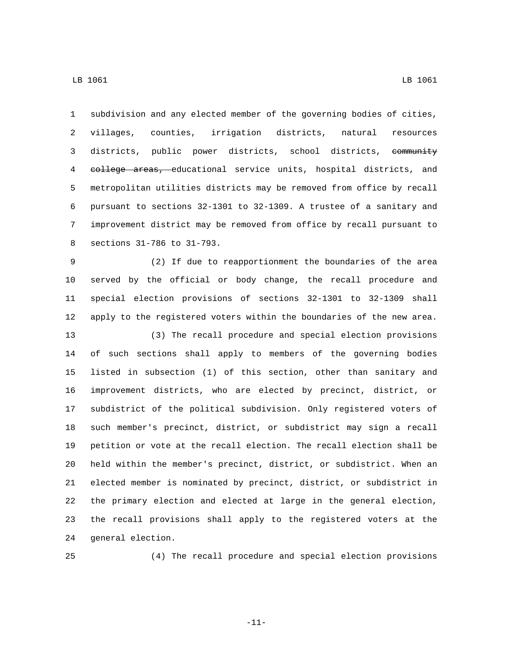subdivision and any elected member of the governing bodies of cities, villages, counties, irrigation districts, natural resources 3 districts, public power districts, school districts, community 4 college areas, educational service units, hospital districts, and metropolitan utilities districts may be removed from office by recall pursuant to sections 32-1301 to 32-1309. A trustee of a sanitary and improvement district may be removed from office by recall pursuant to

8 sections 31-786 to 31-793.

 (2) If due to reapportionment the boundaries of the area served by the official or body change, the recall procedure and special election provisions of sections 32-1301 to 32-1309 shall apply to the registered voters within the boundaries of the new area.

 (3) The recall procedure and special election provisions of such sections shall apply to members of the governing bodies listed in subsection (1) of this section, other than sanitary and improvement districts, who are elected by precinct, district, or subdistrict of the political subdivision. Only registered voters of such member's precinct, district, or subdistrict may sign a recall petition or vote at the recall election. The recall election shall be held within the member's precinct, district, or subdistrict. When an elected member is nominated by precinct, district, or subdistrict in the primary election and elected at large in the general election, the recall provisions shall apply to the registered voters at the 24 general election.

(4) The recall procedure and special election provisions

-11-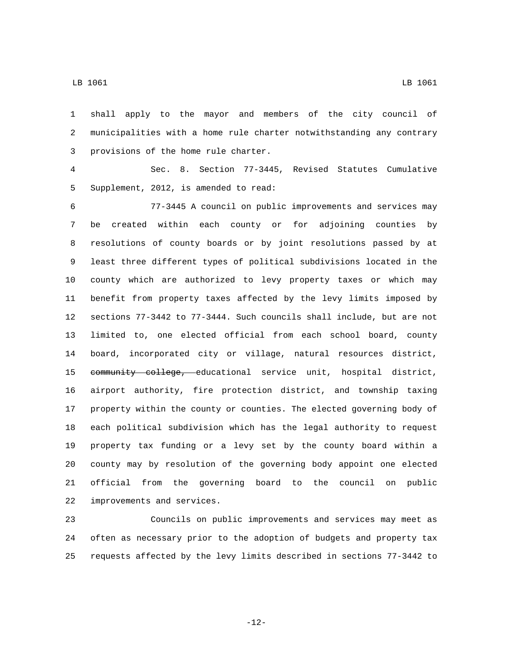shall apply to the mayor and members of the city council of municipalities with a home rule charter notwithstanding any contrary 3 provisions of the home rule charter.

 Sec. 8. Section 77-3445, Revised Statutes Cumulative 5 Supplement, 2012, is amended to read:

 77-3445 A council on public improvements and services may be created within each county or for adjoining counties by resolutions of county boards or by joint resolutions passed by at least three different types of political subdivisions located in the county which are authorized to levy property taxes or which may benefit from property taxes affected by the levy limits imposed by sections 77-3442 to 77-3444. Such councils shall include, but are not limited to, one elected official from each school board, county board, incorporated city or village, natural resources district, 15 community college, educational service unit, hospital district, airport authority, fire protection district, and township taxing property within the county or counties. The elected governing body of each political subdivision which has the legal authority to request property tax funding or a levy set by the county board within a county may by resolution of the governing body appoint one elected official from the governing board to the council on public 22 improvements and services.

 Councils on public improvements and services may meet as often as necessary prior to the adoption of budgets and property tax requests affected by the levy limits described in sections 77-3442 to

-12-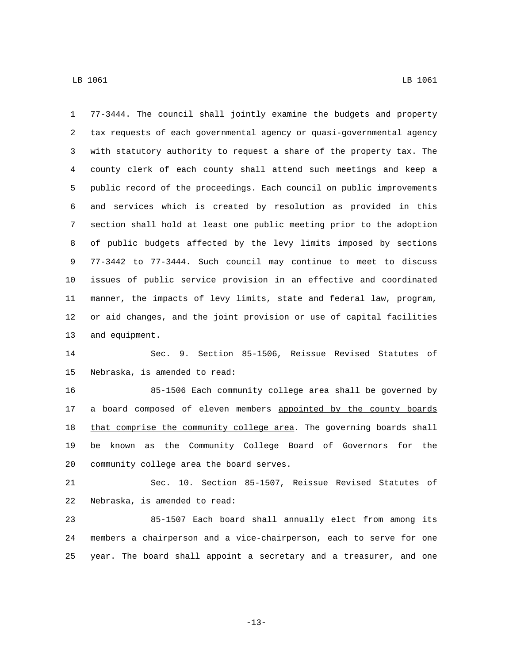LB 1061 LB 1061

 77-3444. The council shall jointly examine the budgets and property tax requests of each governmental agency or quasi-governmental agency with statutory authority to request a share of the property tax. The county clerk of each county shall attend such meetings and keep a public record of the proceedings. Each council on public improvements and services which is created by resolution as provided in this section shall hold at least one public meeting prior to the adoption of public budgets affected by the levy limits imposed by sections 77-3442 to 77-3444. Such council may continue to meet to discuss issues of public service provision in an effective and coordinated manner, the impacts of levy limits, state and federal law, program, or aid changes, and the joint provision or use of capital facilities 13 and equipment.

 Sec. 9. Section 85-1506, Reissue Revised Statutes of 15 Nebraska, is amended to read:

 85-1506 Each community college area shall be governed by 17 a board composed of eleven members appointed by the county boards 18 that comprise the community college area. The governing boards shall be known as the Community College Board of Governors for the 20 community college area the board serves.

 Sec. 10. Section 85-1507, Reissue Revised Statutes of 22 Nebraska, is amended to read:

 85-1507 Each board shall annually elect from among its members a chairperson and a vice-chairperson, each to serve for one year. The board shall appoint a secretary and a treasurer, and one

-13-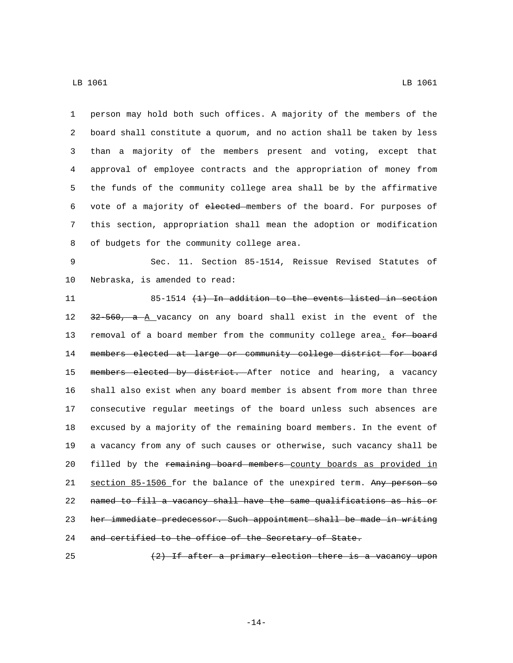person may hold both such offices. A majority of the members of the board shall constitute a quorum, and no action shall be taken by less than a majority of the members present and voting, except that approval of employee contracts and the appropriation of money from the funds of the community college area shall be by the affirmative vote of a majority of elected members of the board. For purposes of this section, appropriation shall mean the adoption or modification 8 of budgets for the community college area.

 Sec. 11. Section 85-1514, Reissue Revised Statutes of 10 Nebraska, is amended to read:

 85-1514 (1) In addition to the events listed in section 12 32 560, a A vacancy on any board shall exist in the event of the 13 removal of a board member from the community college area. for board members elected at large or community college district for board 15 members elected by district. After notice and hearing, a vacancy shall also exist when any board member is absent from more than three consecutive regular meetings of the board unless such absences are excused by a majority of the remaining board members. In the event of a vacancy from any of such causes or otherwise, such vacancy shall be 20 filled by the remaining board members county boards as provided in 21 section 85-1506 for the balance of the unexpired term. Any person so named to fill a vacancy shall have the same qualifications as his or her immediate predecessor. Such appointment shall be made in writing 24 and certified to the office of the Secretary of State.

 $(2)$  If after a primary election there is a vacancy upon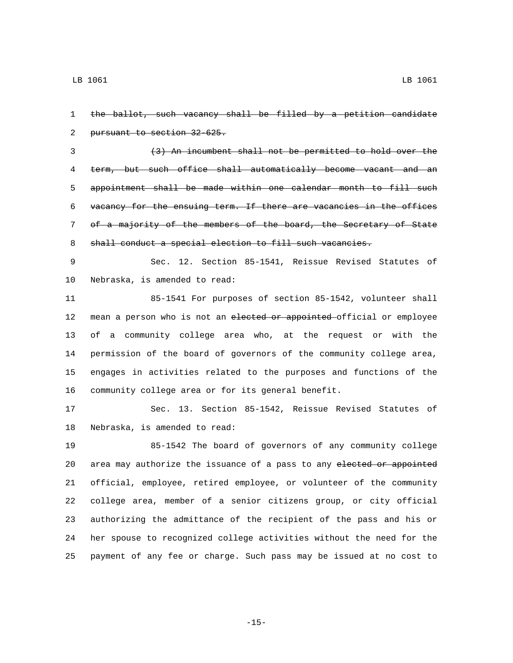the ballot, such vacancy shall be filled by a petition candidate 2 pursuant to section 32-625.

 (3) An incumbent shall not be permitted to hold over the term, but such office shall automatically become vacant and an appointment shall be made within one calendar month to fill such vacancy for the ensuing term. If there are vacancies in the offices of a majority of the members of the board, the Secretary of State 8 shall conduct a special election to fill such vacancies.

 Sec. 12. Section 85-1541, Reissue Revised Statutes of 10 Nebraska, is amended to read:

 85-1541 For purposes of section 85-1542, volunteer shall 12 mean a person who is not an elected or appointed-official or employee of a community college area who, at the request or with the permission of the board of governors of the community college area, engages in activities related to the purposes and functions of the community college area or for its general benefit.

 Sec. 13. Section 85-1542, Reissue Revised Statutes of 18 Nebraska, is amended to read:

 85-1542 The board of governors of any community college 20 area may authorize the issuance of a pass to any elected or appointed official, employee, retired employee, or volunteer of the community college area, member of a senior citizens group, or city official authorizing the admittance of the recipient of the pass and his or her spouse to recognized college activities without the need for the payment of any fee or charge. Such pass may be issued at no cost to

-15-